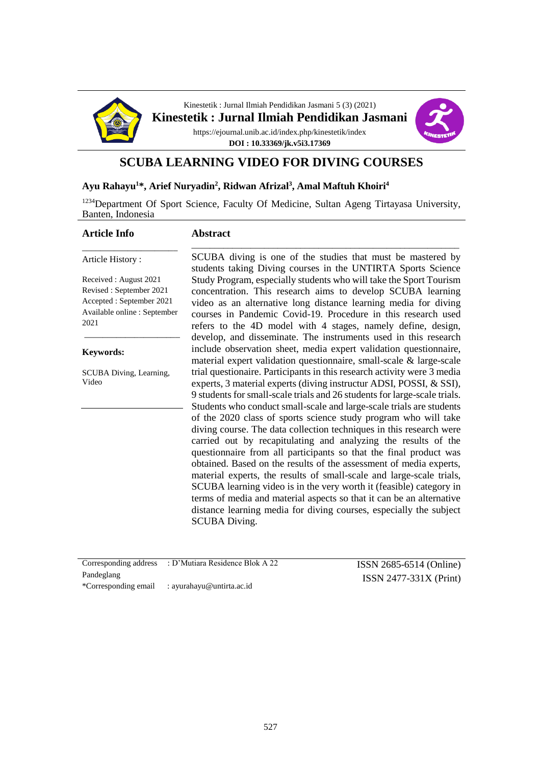

Kinestetik : Jurnal Ilmiah Pendidikan Jasmani 5 (3) (2021) **Kinestetik : Jurnal Ilmiah Pendidikan Jasmani**

> https://ejournal.unib.ac.id/index.php/kinestetik/index **DOI : 10.33369/jk.v5i3.17369**



### **SCUBA LEARNING VIDEO FOR DIVING COURSES**

#### **Ayu Rahayu<sup>1</sup>\*, Arief Nuryadin<sup>2</sup> , Ridwan Afrizal<sup>3</sup> , Amal Maftuh Khoiri<sup>4</sup>**

<sup>1234</sup>Department Of Sport Science, Faculty Of Medicine, Sultan Ageng Tirtayasa University, Banten, Indonesia

#### **Article Info**

#### **Abstract** \_\_\_\_\_\_\_\_\_\_\_\_\_\_\_\_\_\_\_\_\_\_\_\_\_\_\_\_\_\_\_\_\_\_\_\_\_\_\_\_\_\_\_\_\_\_\_\_\_\_\_\_\_\_\_\_\_\_\_

Article History :

Received : August 2021 Revised : September 2021 Accepted : September 2021 Available online : September 2021

\_\_\_\_\_\_\_\_\_\_\_\_\_\_\_\_\_\_\_\_\_

\_\_\_\_\_\_\_\_\_\_\_\_\_\_\_\_\_\_\_\_\_

#### **Keywords:**

SCUBA Diving, Learning, Video

SCUBA diving is one of the studies that must be mastered by students taking Diving courses in the UNTIRTA Sports Science Study Program, especially students who will take the Sport Tourism concentration. This research aims to develop SCUBA learning video as an alternative long distance learning media for diving courses in Pandemic Covid-19. Procedure in this research used refers to the 4D model with 4 stages, namely define, design, develop, and disseminate. The instruments used in this research include observation sheet, media expert validation questionnaire, material expert validation questionnaire, small-scale & large-scale trial questionaire. Participants in this research activity were 3 media experts, 3 material experts (diving instructur ADSI, POSSI, & SSI), 9 students for small-scale trials and 26 students for large-scale trials. Students who conduct small-scale and large-scale trials are students of the 2020 class of sports science study program who will take diving course. The data collection techniques in this research were carried out by recapitulating and analyzing the results of the questionnaire from all participants so that the final product was obtained. Based on the results of the assessment of media experts, material experts, the results of small-scale and large-scale trials, SCUBA learning video is in the very worth it (feasible) category in terms of media and material aspects so that it can be an alternative distance learning media for diving courses, especially the subject SCUBA Diving.

|            | Corresponding address : D'Mutiara Residence Blok A 22 | $ISSN 2685-6514 (Online)$ |
|------------|-------------------------------------------------------|---------------------------|
| Pandeglang |                                                       | $ISSN 2477-331X (Print)$  |
|            | *Corresponding email : ayurahayu@untirta.ac.id        |                           |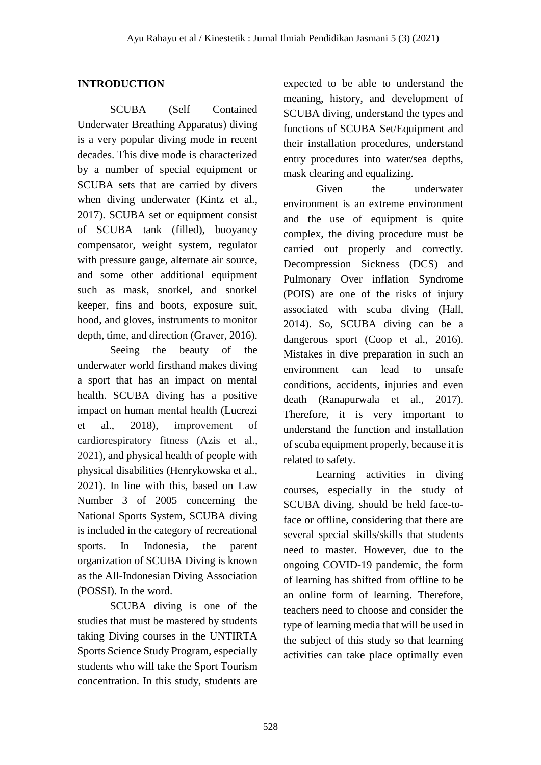## **INTRODUCTION**

SCUBA (Self Contained Underwater Breathing Apparatus) diving is a very popular diving mode in recent decades. This dive mode is characterized by a number of special equipment or SCUBA sets that are carried by divers when diving underwater (Kintz et al., 2017). SCUBA set or equipment consist of SCUBA tank (filled), buoyancy compensator, weight system, regulator with pressure gauge, alternate air source, and some other additional equipment such as mask, snorkel, and snorkel keeper, fins and boots, exposure suit, hood, and gloves, instruments to monitor depth, time, and direction (Graver, 2016).

Seeing the beauty of the underwater world firsthand makes diving a sport that has an impact on mental health. SCUBA diving has a positive impact on human mental health (Lucrezi et al., 2018), improvement of cardiorespiratory fitness (Azis et al., 2021), and physical health of people with physical disabilities (Henrykowska et al., 2021). In line with this, based on Law Number 3 of 2005 concerning the National Sports System, SCUBA diving is included in the category of recreational sports. In Indonesia, the parent organization of SCUBA Diving is known as the All-Indonesian Diving Association (POSSI). In the word.

SCUBA diving is one of the studies that must be mastered by students taking Diving courses in the UNTIRTA Sports Science Study Program, especially students who will take the Sport Tourism concentration. In this study, students are expected to be able to understand the meaning, history, and development of SCUBA diving, understand the types and functions of SCUBA Set/Equipment and their installation procedures, understand entry procedures into water/sea depths, mask clearing and equalizing.

Given the underwater environment is an extreme environment and the use of equipment is quite complex, the diving procedure must be carried out properly and correctly. Decompression Sickness (DCS) and Pulmonary Over inflation Syndrome (POIS) are one of the risks of injury associated with scuba diving (Hall, 2014). So, SCUBA diving can be a dangerous sport (Coop et al., 2016). Mistakes in dive preparation in such an environment can lead to unsafe conditions, accidents, injuries and even death (Ranapurwala et al., 2017). Therefore, it is very important to understand the function and installation of scuba equipment properly, because it is related to safety.

Learning activities in diving courses, especially in the study of SCUBA diving, should be held face-toface or offline, considering that there are several special skills/skills that students need to master. However, due to the ongoing COVID-19 pandemic, the form of learning has shifted from offline to be an online form of learning. Therefore, teachers need to choose and consider the type of learning media that will be used in the subject of this study so that learning activities can take place optimally even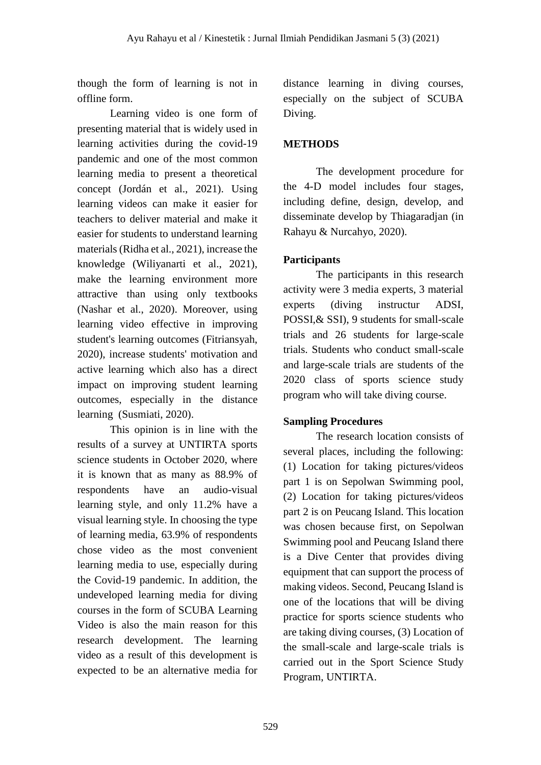though the form of learning is not in offline form.

Learning video is one form of presenting material that is widely used in learning activities during the covid-19 pandemic and one of the most common learning media to present a theoretical concept (Jordán et al., 2021). Using learning videos can make it easier for teachers to deliver material and make it easier for students to understand learning materials (Ridha et al., 2021), increase the knowledge (Wiliyanarti et al., 2021), make the learning environment more attractive than using only textbooks (Nashar et al., 2020). Moreover, using learning video effective in improving student's learning outcomes (Fitriansyah, 2020), increase students' motivation and active learning which also has a direct impact on improving student learning outcomes, especially in the distance learning (Susmiati, 2020).

This opinion is in line with the results of a survey at UNTIRTA sports science students in October 2020, where it is known that as many as 88.9% of respondents have an audio-visual learning style, and only 11.2% have a visual learning style. In choosing the type of learning media, 63.9% of respondents chose video as the most convenient learning media to use, especially during the Covid-19 pandemic. In addition, the undeveloped learning media for diving courses in the form of SCUBA Learning Video is also the main reason for this research development. The learning video as a result of this development is expected to be an alternative media for

distance learning in diving courses, especially on the subject of SCUBA Diving.

# **METHODS**

The development procedure for the 4-D model includes four stages, including define, design, develop, and disseminate develop by Thiagaradjan (in Rahayu & Nurcahyo, 2020).

# **Participants**

The participants in this research activity were 3 media experts, 3 material experts (diving instructur ADSI, POSSI,& SSI), 9 students for small-scale trials and 26 students for large-scale trials. Students who conduct small-scale and large-scale trials are students of the 2020 class of sports science study program who will take diving course.

## **Sampling Procedures**

The research location consists of several places, including the following: (1) Location for taking pictures/videos part 1 is on Sepolwan Swimming pool, (2) Location for taking pictures/videos part 2 is on Peucang Island. This location was chosen because first, on Sepolwan Swimming pool and Peucang Island there is a Dive Center that provides diving equipment that can support the process of making videos. Second, Peucang Island is one of the locations that will be diving practice for sports science students who are taking diving courses, (3) Location of the small-scale and large-scale trials is carried out in the Sport Science Study Program, UNTIRTA.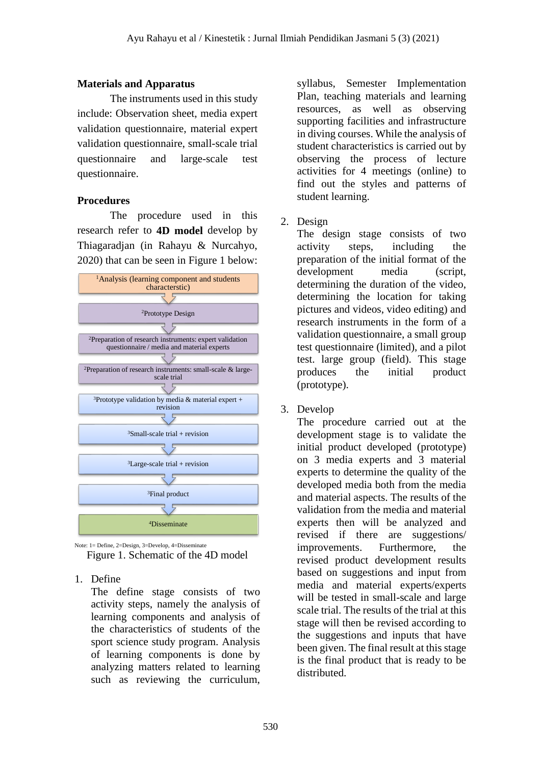### **Materials and Apparatus**

The instruments used in this study include: Observation sheet, media expert validation questionnaire, material expert validation questionnaire, small-scale trial questionnaire and large-scale test questionnaire.

#### **Procedures**

The procedure used in this research refer to **4D model** develop by Thiagaradjan (in Rahayu & Nurcahyo, 2020) that can be seen in Figure 1 below:



Note: 1= Define, 2=Design, 3=Develop, 4=Disseminate Figure 1. Schematic of the 4D model

1. Define

The define stage consists of two activity steps, namely the analysis of learning components and analysis of the characteristics of students of the sport science study program. Analysis of learning components is done by analyzing matters related to learning such as reviewing the curriculum,

syllabus, Semester Implementation Plan, teaching materials and learning resources, as well as observing supporting facilities and infrastructure in diving courses. While the analysis of student characteristics is carried out by observing the process of lecture activities for 4 meetings (online) to find out the styles and patterns of student learning.

2. Design

The design stage consists of two activity steps, including the preparation of the initial format of the development media (script, determining the duration of the video, determining the location for taking pictures and videos, video editing) and research instruments in the form of a validation questionnaire, a small group test questionnaire (limited), and a pilot test. large group (field). This stage produces the initial product (prototype).

3. Develop

The procedure carried out at the development stage is to validate the initial product developed (prototype) on 3 media experts and 3 material experts to determine the quality of the developed media both from the media and material aspects. The results of the validation from the media and material experts then will be analyzed and revised if there are suggestions/ improvements. Furthermore, the revised product development results based on suggestions and input from media and material experts/experts will be tested in small-scale and large scale trial. The results of the trial at this stage will then be revised according to the suggestions and inputs that have been given. The final result at this stage is the final product that is ready to be distributed.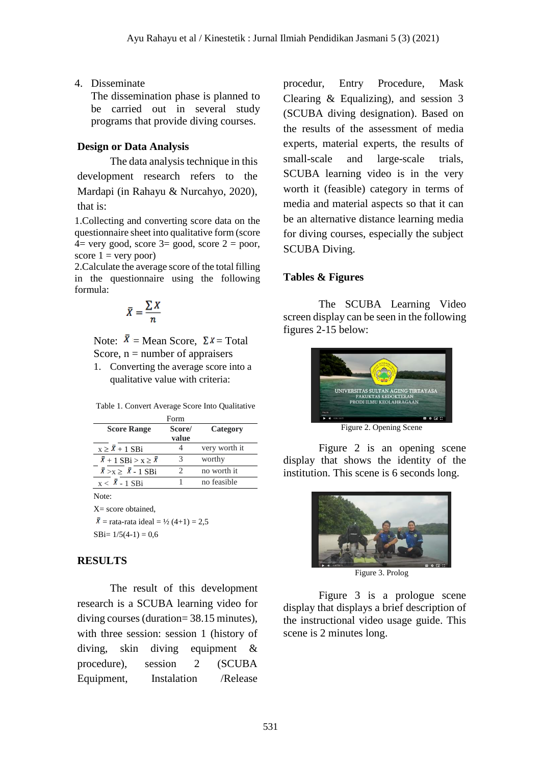4. Disseminate

The dissemination phase is planned to be carried out in several study programs that provide diving courses.

## **Design or Data Analysis**

The data analysis technique in this development research refers to the Mardapi (in Rahayu & Nurcahyo, 2020), that is:

1.Collecting and converting score data on the questionnaire sheet into qualitative form (score  $4=$  very good, score  $3=$  good, score  $2=$  poor, score  $1 = \text{very poor}$ 

2.Calculate the average score of the total filling in the questionnaire using the following formula:

$$
\bar{X} = \frac{\sum X}{n}
$$

Note:  $\bar{X}$  = Mean Score,  $\Sigma X$  = Total Score,  $n =$  number of appraisers

1. Converting the average score into a qualitative value with criteria:

| Form                               |        |               |  |  |
|------------------------------------|--------|---------------|--|--|
| <b>Score Range</b>                 | Score/ | Category      |  |  |
|                                    | value  |               |  |  |
| $x \geq \overline{X} + 1$ SBi      |        | very worth it |  |  |
| $\bar{X}+1$ SBi > x > $\bar{X}$    |        | worthy        |  |  |
| $\bar{X} > X \geq \bar{X} - 1$ SBi |        | no worth it   |  |  |
| $x < \overline{X}$ - 1 SBi         |        | no feasible   |  |  |

Note:

 $X=$  score obtained.  $\bar{X}$  = rata-rata ideal = ½ (4+1) = 2,5

```
SBi= 1/5(4-1) = 0.6
```
### **RESULTS**

The result of this development research is a SCUBA learning video for diving courses (duration= 38.15 minutes), with three session: session 1 (history of diving, skin diving equipment & procedure), session 2 (SCUBA Equipment, Instalation /Release

procedur, Entry Procedure, Mask Clearing & Equalizing), and session 3 (SCUBA diving designation). Based on the results of the assessment of media experts, material experts, the results of small-scale and large-scale trials, SCUBA learning video is in the very worth it (feasible) category in terms of media and material aspects so that it can be an alternative distance learning media for diving courses, especially the subject SCUBA Diving.

## **Tables & Figures**

The SCUBA Learning Video screen display can be seen in the following figures 2-15 below:



Figure 2. Opening Scene

Figure 2 is an opening scene display that shows the identity of the institution. This scene is 6 seconds long.



Figure 3. Prolog

Figure 3 is a prologue scene display that displays a brief description of the instructional video usage guide. This scene is 2 minutes long.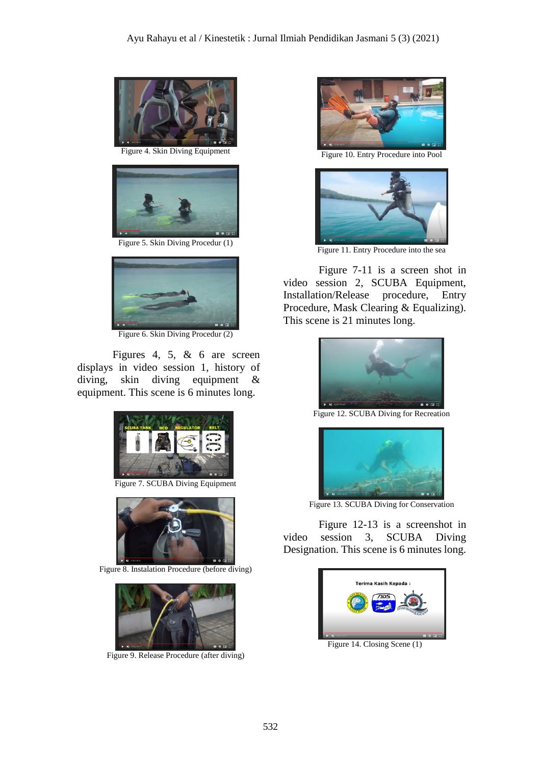

Figure 4. Skin Diving Equipment



Figure 5. Skin Diving Procedur (1)



Figure 6. Skin Diving Procedur (2)

Figures 4, 5, & 6 are screen displays in video session 1, history of diving, skin diving equipment & equipment. This scene is 6 minutes long.



Figure 7. SCUBA Diving Equipment



Figure 8. Instalation Procedure (before diving)



Figure 9. Release Procedure (after diving)



Figure 10. Entry Procedure into Pool



Figure 11. Entry Procedure into the sea

Figure 7-11 is a screen shot in video session 2, SCUBA Equipment, Installation/Release procedure, Entry Procedure, Mask Clearing & Equalizing). This scene is 21 minutes long.



Figure 12. SCUBA Diving for Recreation



Figure 13. SCUBA Diving for Conservation

Figure 12-13 is a screenshot in video session 3, SCUBA Diving Designation. This scene is 6 minutes long.



Figure 14. Closing Scene (1)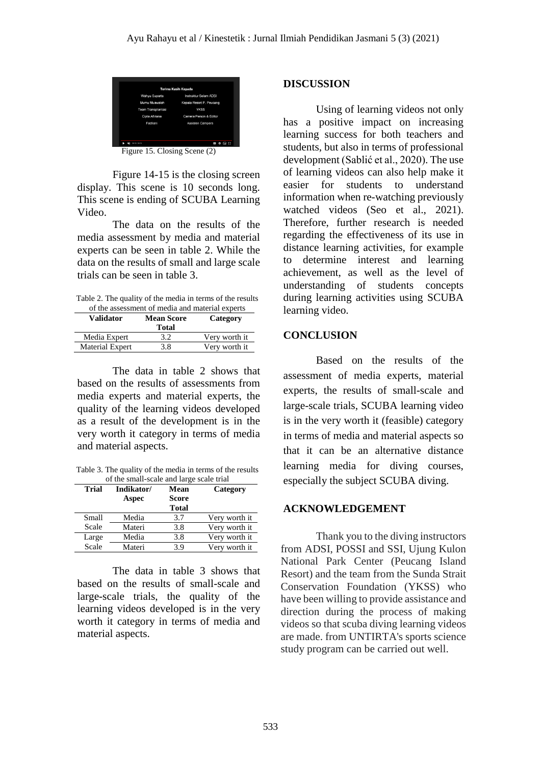| Terima Kasih Kepada       |                          |  |  |  |
|---------------------------|--------------------------|--|--|--|
| Wahyu Suparta             | Instruktur Selam ADSI    |  |  |  |
| Mumu Muawalah             | Kepala Resort P. Peucang |  |  |  |
| <b>Team Transplantasi</b> | <b>YKSS</b>              |  |  |  |
| Cipta Aftriana            | Camera Person & Editor   |  |  |  |
| Fadliani                  | Assisten Campers         |  |  |  |
|                           |                          |  |  |  |
| 3810/3815                 | ee.<br>--<br>٠           |  |  |  |

Figure 15. Closing Scene (2)

Figure 14-15 is the closing screen display. This scene is 10 seconds long. This scene is ending of SCUBA Learning Video.

The data on the results of the media assessment by media and material experts can be seen in table 2. While the data on the results of small and large scale trials can be seen in table 3.

Table 2. The quality of the media in terms of the results of the assessment of media and material experts

| <b>Validator</b>       | <b>Mean Score</b><br><b>Total</b> | Category      |
|------------------------|-----------------------------------|---------------|
| Media Expert           | 3.2                               | Very worth it |
| <b>Material Expert</b> | 3.8                               | Very worth it |

The data in table 2 shows that based on the results of assessments from media experts and material experts, the quality of the learning videos developed as a result of the development is in the very worth it category in terms of media and material aspects.

Table 3. The quality of the media in terms of the results of the small-scale and large scale trial

| <b>Trial</b> | Indikator/ | Mean         | Category      |
|--------------|------------|--------------|---------------|
|              | Aspec      | <b>Score</b> |               |
|              |            | Total        |               |
| Small        | Media      | 3.7          | Very worth it |
| Scale        | Materi     | 3.8          | Very worth it |
| Large        | Media      | 3.8          | Very worth it |
| Scale        | Materi     | 3.9          | Very worth it |

The data in table 3 shows that based on the results of small-scale and large-scale trials, the quality of the learning videos developed is in the very worth it category in terms of media and material aspects.

#### **DISCUSSION**

Using of learning videos not only has a positive impact on increasing learning success for both teachers and students, but also in terms of professional development (Sablić et al., 2020). The use of learning videos can also help make it easier for students to understand information when re-watching previously watched videos (Seo et al., 2021). Therefore, further research is needed regarding the effectiveness of its use in distance learning activities, for example to determine interest and learning achievement, as well as the level of understanding of students concepts during learning activities using SCUBA learning video.

#### **CONCLUSION**

Based on the results of the assessment of media experts, material experts, the results of small-scale and large-scale trials, SCUBA learning video is in the very worth it (feasible) category in terms of media and material aspects so that it can be an alternative distance learning media for diving courses, especially the subject SCUBA diving.

#### **ACKNOWLEDGEMENT**

Thank you to the diving instructors from ADSI, POSSI and SSI, Ujung Kulon National Park Center (Peucang Island Resort) and the team from the Sunda Strait Conservation Foundation (YKSS) who have been willing to provide assistance and direction during the process of making videos so that scuba diving learning videos are made. from UNTIRTA's sports science study program can be carried out well.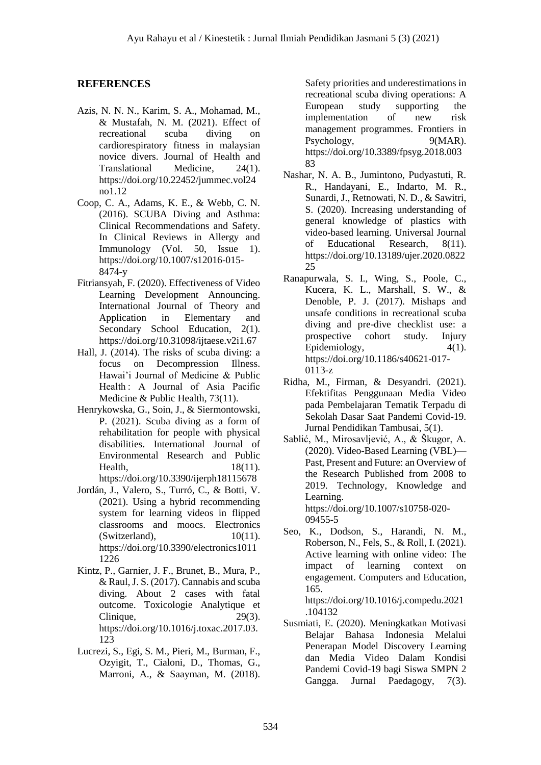#### **REFERENCES**

- Azis, N. N. N., Karim, S. A., Mohamad, M., & Mustafah, N. M. (2021). Effect of recreational scuba diving on cardiorespiratory fitness in malaysian novice divers. Journal of Health and Translational Medicine, 24(1). https://doi.org/10.22452/jummec.vol24 no1.12
- Coop, C. A., Adams, K. E., & Webb, C. N. (2016). SCUBA Diving and Asthma: Clinical Recommendations and Safety. In Clinical Reviews in Allergy and Immunology (Vol. 50, Issue 1). https://doi.org/10.1007/s12016-015- 8474-y
- Fitriansyah, F. (2020). Effectiveness of Video Learning Development Announcing. International Journal of Theory and Application in Elementary and Secondary School Education, 2(1). https://doi.org/10.31098/ijtaese.v2i1.67
- Hall, J. (2014). The risks of scuba diving: a focus on Decompression Illness. Hawai'i Journal of Medicine & Public Health : A Journal of Asia Pacific Medicine & Public Health, 73(11).
- Henrykowska, G., Soin, J., & Siermontowski, P. (2021). Scuba diving as a form of rehabilitation for people with physical disabilities. International Journal of Environmental Research and Public Health, 18(11). https://doi.org/10.3390/ijerph18115678
- Jordán, J., Valero, S., Turró, C., & Botti, V. (2021). Using a hybrid recommending system for learning videos in flipped classrooms and moocs. Electronics (Switzerland), 10(11). https://doi.org/10.3390/electronics1011 1226
- Kintz, P., Garnier, J. F., Brunet, B., Mura, P., & Raul, J. S. (2017). Cannabis and scuba diving. About 2 cases with fatal outcome. Toxicologie Analytique et Clinique, 29(3). https://doi.org/10.1016/j.toxac.2017.03. 123
- Lucrezi, S., Egi, S. M., Pieri, M., Burman, F., Ozyigit, T., Cialoni, D., Thomas, G., Marroni, A., & Saayman, M. (2018).

Safety priorities and underestimations in recreational scuba diving operations: A European study supporting the implementation of new risk management programmes. Frontiers in Psychology, 9(MAR). https://doi.org/10.3389/fpsyg.2018.003 83

- Nashar, N. A. B., Jumintono, Pudyastuti, R. R., Handayani, E., Indarto, M. R., Sunardi, J., Retnowati, N. D., & Sawitri, S. (2020). Increasing understanding of general knowledge of plastics with video-based learning. Universal Journal of Educational Research, 8(11). https://doi.org/10.13189/ujer.2020.0822 25
- Ranapurwala, S. I., Wing, S., Poole, C., Kucera, K. L., Marshall, S. W., & Denoble, P. J. (2017). Mishaps and unsafe conditions in recreational scuba diving and pre-dive checklist use: a prospective cohort study. Injury Epidemiology,  $4(1)$ . https://doi.org/10.1186/s40621-017- 0113-z
- Ridha, M., Firman, & Desyandri. (2021). Efektifitas Penggunaan Media Video pada Pembelajaran Tematik Terpadu di Sekolah Dasar Saat Pandemi Covid-19. Jurnal Pendidikan Tambusai, 5(1).
- Sablić, M., Mirosavljević, A., & Škugor, A. (2020). Video-Based Learning (VBL)— Past, Present and Future: an Overview of the Research Published from 2008 to 2019. Technology, Knowledge and Learning. https://doi.org/10.1007/s10758-020-

09455-5

Seo, K., Dodson, S., Harandi, N. M., Roberson, N., Fels, S., & Roll, I. (2021). Active learning with online video: The impact of learning context on engagement. Computers and Education, 165. https://doi.org/10.1016/j.compedu.2021

.104132

Susmiati, E. (2020). Meningkatkan Motivasi Belajar Bahasa Indonesia Melalui Penerapan Model Discovery Learning dan Media Video Dalam Kondisi Pandemi Covid-19 bagi Siswa SMPN 2 Gangga. Jurnal Paedagogy, 7(3).